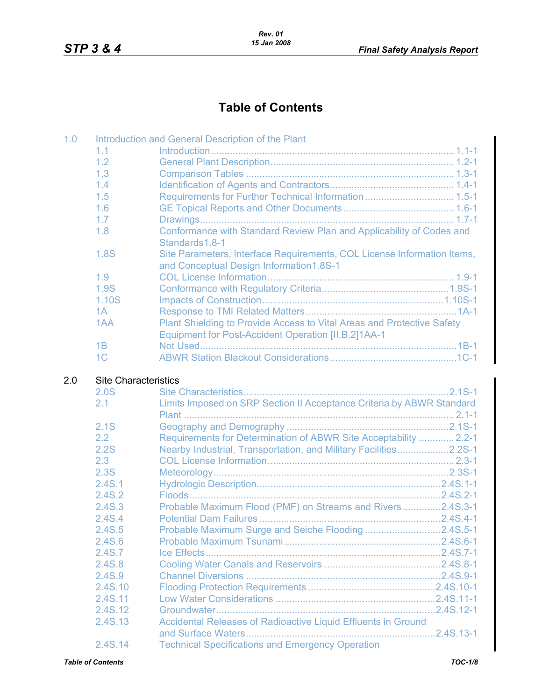## **Table of Contents**

| 1.0 |                                     | Introduction and General Description of the Plant                                                                  |            |
|-----|-------------------------------------|--------------------------------------------------------------------------------------------------------------------|------------|
|     | 1.1                                 |                                                                                                                    |            |
|     | 1.2                                 |                                                                                                                    |            |
|     | 1.3                                 |                                                                                                                    |            |
|     | 1.4                                 |                                                                                                                    |            |
|     | 1.5                                 | Requirements for Further Technical Information  1.5-1                                                              |            |
|     | 1.6                                 |                                                                                                                    |            |
|     | 1.7                                 |                                                                                                                    |            |
|     | 1.8                                 | Conformance with Standard Review Plan and Applicability of Codes and<br>Standards1.8-1                             |            |
|     | 1.8S                                | Site Parameters, Interface Requirements, COL License Information Items,<br>and Conceptual Design Information1.8S-1 |            |
|     | 1.9                                 |                                                                                                                    |            |
|     | 1.9S                                |                                                                                                                    |            |
|     | 1.10S                               |                                                                                                                    |            |
|     | 1A                                  |                                                                                                                    |            |
|     | 1AA                                 | Plant Shielding to Provide Access to Vital Areas and Protective Safety                                             |            |
|     |                                     | <b>Equipment for Post-Accident Operation [II.B.2]1AA-1</b>                                                         |            |
|     | 1B                                  |                                                                                                                    |            |
|     | 1 <sup>C</sup>                      |                                                                                                                    |            |
| 2.0 | <b>Site Characteristics</b><br>2.0S |                                                                                                                    |            |
|     | 2.1                                 | Limits Imposed on SRP Section II Acceptance Criteria by ABWR Standard                                              |            |
|     | 2.1S                                |                                                                                                                    |            |
|     | 2.2                                 | Requirements for Determination of ABWR Site Acceptability  2.2-1                                                   |            |
|     | 2.2S                                | Nearby Industrial, Transportation, and Military Facilities2.2S-1                                                   |            |
|     | 2.3                                 |                                                                                                                    |            |
|     | 2.3S                                |                                                                                                                    |            |
|     | 2.4S.1                              |                                                                                                                    |            |
|     | 2.4S.2                              |                                                                                                                    |            |
|     | 2.4S.3                              | Probable Maximum Flood (PMF) on Streams and Rivers2.4S.3-1                                                         |            |
|     | 2.4S.4                              |                                                                                                                    |            |
|     | 2.4S.5                              | Probable Maximum Surge and Seiche Flooding 2.4S.5-1                                                                |            |
|     | 2.4S.6                              |                                                                                                                    |            |
|     | 2.4S.7                              |                                                                                                                    |            |
|     | 2.4S.8                              |                                                                                                                    |            |
|     | 2.4S.9                              |                                                                                                                    |            |
|     | 2.4S.10                             |                                                                                                                    |            |
|     | 2.4S.11                             |                                                                                                                    |            |
|     | 2.4S.12                             |                                                                                                                    |            |
|     | 2.4S.13                             | Accidental Releases of Radioactive Liquid Effluents in Ground                                                      | .2.4S.13-1 |
|     | 2.4S.14                             | <b>Technical Specifications and Emergency Operation</b>                                                            |            |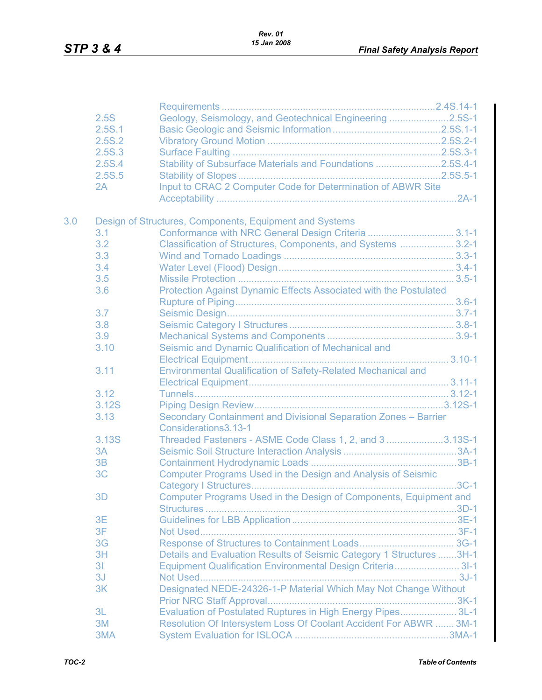|     | 2.5S           | Geology, Seismology, and Geotechnical Engineering 2.5S-1                                |  |
|-----|----------------|-----------------------------------------------------------------------------------------|--|
|     | 2.5S.1         |                                                                                         |  |
|     | 2.5S.2         |                                                                                         |  |
|     | 2.5S.3         |                                                                                         |  |
|     | 2.5S.4         | Stability of Subsurface Materials and Foundations 2.5S.4-1                              |  |
|     | 2.5S.5         |                                                                                         |  |
|     | 2A             | Input to CRAC 2 Computer Code for Determination of ABWR Site                            |  |
|     |                |                                                                                         |  |
| 3.0 |                | Design of Structures, Components, Equipment and Systems                                 |  |
|     | 3.1            | Conformance with NRC General Design Criteria  3.1-1                                     |  |
|     | 3.2            | Classification of Structures, Components, and Systems  3.2-1                            |  |
|     | 3.3            |                                                                                         |  |
|     | 3.4            |                                                                                         |  |
|     | 3.5            |                                                                                         |  |
|     | 3.6            | Protection Against Dynamic Effects Associated with the Postulated                       |  |
|     |                |                                                                                         |  |
|     | 3.7            |                                                                                         |  |
|     | 3.8            |                                                                                         |  |
|     | 3.9            |                                                                                         |  |
|     | 3.10           | Seismic and Dynamic Qualification of Mechanical and                                     |  |
|     |                |                                                                                         |  |
|     | 3.11           | Environmental Qualification of Safety-Related Mechanical and                            |  |
|     |                |                                                                                         |  |
|     | 3.12           |                                                                                         |  |
|     | 3.12S          |                                                                                         |  |
|     | 3.13           | Secondary Containment and Divisional Separation Zones - Barrier<br>Considerations3.13-1 |  |
|     | 3.13S          | Threaded Fasteners - ASME Code Class 1, 2, and 3 3.13S-1                                |  |
|     | 3A             |                                                                                         |  |
|     | 3B             |                                                                                         |  |
|     | 3C             | Computer Programs Used in the Design and Analysis of Seismic                            |  |
|     |                |                                                                                         |  |
|     | 3D             | Computer Programs Used in the Design of Components, Equipment and                       |  |
|     |                |                                                                                         |  |
|     | 3E             |                                                                                         |  |
|     | 3F             |                                                                                         |  |
|     | 3G             |                                                                                         |  |
|     | 3H             | Details and Evaluation Results of Seismic Category 1 Structures 3H-1                    |  |
|     | 3 <sup>1</sup> | Equipment Qualification Environmental Design Criteria 31-1                              |  |
|     | 3J             |                                                                                         |  |
|     | 3K             | Designated NEDE-24326-1-P Material Which May Not Change Without                         |  |
|     |                |                                                                                         |  |
|     | 3L             | Evaluation of Postulated Ruptures in High Energy Pipes 3L-1                             |  |
|     | 3M             | Resolution Of Intersystem Loss Of Coolant Accident For ABWR  3M-1                       |  |
|     | 3MA            |                                                                                         |  |
|     |                |                                                                                         |  |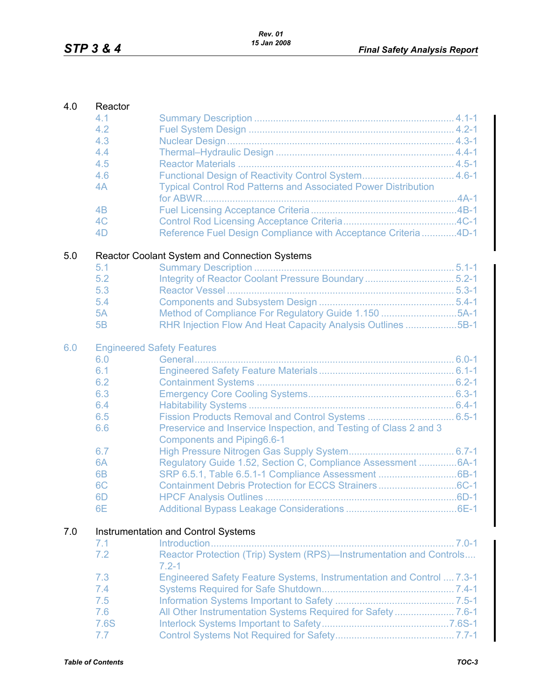| 4.0 | Reactor        |                                                                                                        |  |
|-----|----------------|--------------------------------------------------------------------------------------------------------|--|
|     | 4.1            |                                                                                                        |  |
|     | 4.2            |                                                                                                        |  |
|     | 4.3            |                                                                                                        |  |
|     | 4.4            |                                                                                                        |  |
|     | 4.5            |                                                                                                        |  |
|     | 4.6            | Functional Design of Reactivity Control System 4.6-1                                                   |  |
|     | 4A             | <b>Typical Control Rod Patterns and Associated Power Distribution</b>                                  |  |
|     |                |                                                                                                        |  |
|     | 4B             |                                                                                                        |  |
|     | 4 <sub>C</sub> |                                                                                                        |  |
|     | 4D             | Reference Fuel Design Compliance with Acceptance Criteria4D-1                                          |  |
| 5.0 |                | Reactor Coolant System and Connection Systems                                                          |  |
|     | 5.1            |                                                                                                        |  |
|     | 5.2            |                                                                                                        |  |
|     | 5.3            |                                                                                                        |  |
|     | 5.4            |                                                                                                        |  |
|     | 5A             | Method of Compliance For Regulatory Guide 1.150 5A-1                                                   |  |
|     | 5B             | RHR Injection Flow And Heat Capacity Analysis Outlines 5B-1                                            |  |
| 6.0 |                | <b>Engineered Safety Features</b>                                                                      |  |
|     | 6.0            |                                                                                                        |  |
|     | 6.1            |                                                                                                        |  |
|     | 6.2            |                                                                                                        |  |
|     | 6.3            |                                                                                                        |  |
|     | 6.4            |                                                                                                        |  |
|     | 6.5            |                                                                                                        |  |
|     | 6.6            | Preservice and Inservice Inspection, and Testing of Class 2 and 3<br><b>Components and Piping6.6-1</b> |  |
|     | 6.7            |                                                                                                        |  |
|     | 6A             | Regulatory Guide 1.52, Section C, Compliance Assessment  6A-1                                          |  |
|     | 6 <sub>B</sub> |                                                                                                        |  |
|     | 6 <sub>C</sub> | Containment Debris Protection for ECCS Strainers6C-1                                                   |  |
|     | 6D             | <b>HPCF Analysis Outlines </b>                                                                         |  |
|     | 6E             |                                                                                                        |  |
|     |                |                                                                                                        |  |
| 7.0 |                | Instrumentation and Control Systems                                                                    |  |
|     | 7.1            |                                                                                                        |  |
|     | 7.2            | Reactor Protection (Trip) System (RPS)-Instrumentation and Controls<br>$7.2 - 1$                       |  |
|     | 7.3            | Engineered Safety Feature Systems, Instrumentation and Control  7.3-1                                  |  |
|     | 7.4            |                                                                                                        |  |
|     | 7.5            |                                                                                                        |  |
|     | 7.6            |                                                                                                        |  |
|     | 7.6S           |                                                                                                        |  |
|     | 7.7            |                                                                                                        |  |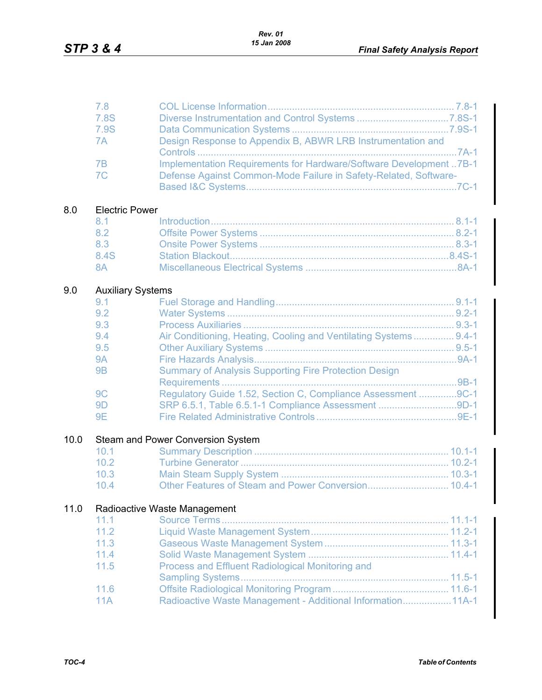|      | 7.8<br>7.8S                     |                                                                    |
|------|---------------------------------|--------------------------------------------------------------------|
|      | 7.9S                            |                                                                    |
|      | 7A                              | Design Response to Appendix B, ABWR LRB Instrumentation and        |
|      |                                 |                                                                    |
|      | 7B                              | Implementation Requirements for Hardware/Software Development 7B-1 |
|      | 7 <sub>C</sub>                  | Defense Against Common-Mode Failure in Safety-Related, Software-   |
|      |                                 |                                                                    |
| 8.0  | <b>Electric Power</b>           |                                                                    |
|      | 8.1                             |                                                                    |
|      | 8.2                             |                                                                    |
|      | 8.3                             |                                                                    |
|      | 8.4S                            |                                                                    |
|      | 8A                              |                                                                    |
| 9.0  |                                 |                                                                    |
|      | <b>Auxiliary Systems</b><br>9.1 |                                                                    |
|      | 9.2                             |                                                                    |
|      | 9.3                             |                                                                    |
|      | 9.4                             | Air Conditioning, Heating, Cooling and Ventilating Systems 9.4-1   |
|      | 9.5                             |                                                                    |
|      | <b>9A</b>                       |                                                                    |
|      | <b>9B</b>                       | <b>Summary of Analysis Supporting Fire Protection Design</b>       |
|      |                                 |                                                                    |
|      | 9 <sub>C</sub>                  | Regulatory Guide 1.52, Section C, Compliance Assessment 9C-1       |
|      | 9 <sub>D</sub>                  | SRP 6.5.1, Table 6.5.1-1 Compliance Assessment 9D-1                |
|      | <b>9E</b>                       |                                                                    |
| 10.0 |                                 | Steam and Power Conversion System                                  |
|      | 10.1                            |                                                                    |
|      | 10.2                            |                                                                    |
|      | 10.3                            |                                                                    |
|      | 10.4                            | Other Features of Steam and Power Conversion 10.4-1                |
|      |                                 |                                                                    |
| 11.0 |                                 | Radioactive Waste Management                                       |
|      | 11.1                            |                                                                    |
|      | 11.2                            |                                                                    |
|      | 11.3                            |                                                                    |
|      | 11.4                            |                                                                    |
|      | 11.5                            | Process and Effluent Radiological Monitoring and                   |
|      |                                 |                                                                    |
|      | 11.6<br>11A                     | Radioactive Waste Management - Additional Information 11A-1        |
|      |                                 |                                                                    |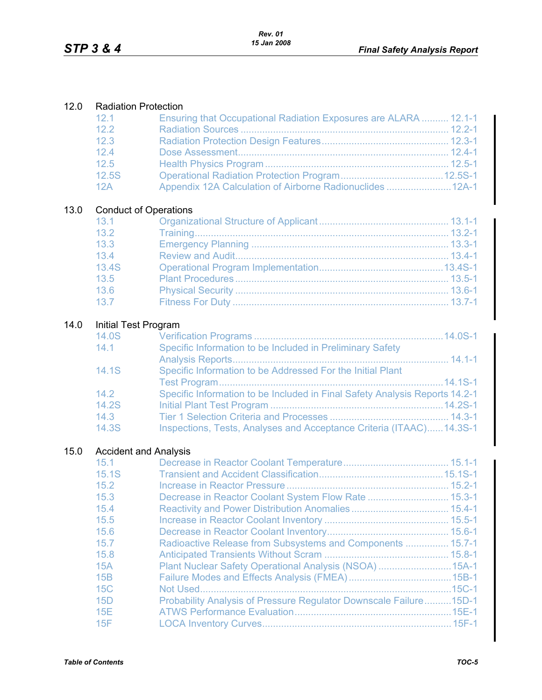| $-12.1$ | Ensuring that Occupational Radiation Exposures are ALARA  12.1-1 |  |
|---------|------------------------------------------------------------------|--|
| 12.2    |                                                                  |  |
| 12.3    |                                                                  |  |
| 124     |                                                                  |  |
| 12.5    |                                                                  |  |
| 12.5S   |                                                                  |  |
| 12A     | Appendix 12A Calculation of Airborne Radionuclides  12A-1        |  |

## 13.0 Conduct of Operations

| 13.1  |  |
|-------|--|
| 13.2  |  |
| 13.3  |  |
| 13.4  |  |
| 13.4S |  |
| 13.5  |  |
| 13.6  |  |
| 13.7  |  |

## 14.0 Initial Test Program

| 14.0S |                                                                             |
|-------|-----------------------------------------------------------------------------|
| 14.1  | Specific Information to be Included in Preliminary Safety                   |
|       |                                                                             |
| 14.1S | Specific Information to be Addressed For the Initial Plant                  |
|       |                                                                             |
| 14.2  | Specific Information to be Included in Final Safety Analysis Reports 14.2-1 |
| 14.2S |                                                                             |
| 14.3  |                                                                             |
| 14.3S | Inspections, Tests, Analyses and Acceptance Criteria (ITAAC)14.3S-1         |

## 15.0 Accident and Analysis

| 15.1  |                                                                   |          |
|-------|-------------------------------------------------------------------|----------|
| 15.1S |                                                                   |          |
| 15.2  |                                                                   |          |
| 15.3  | Decrease in Reactor Coolant System Flow Rate  15.3-1              |          |
| 15.4  |                                                                   |          |
| 15.5  |                                                                   |          |
| 15.6  |                                                                   |          |
| 15.7  | Radioactive Release from Subsystems and Components  15.7-1        |          |
| 15.8  |                                                                   |          |
| 15A   | Plant Nuclear Safety Operational Analysis (NSOA)                  | $.15A-1$ |
| 15B   |                                                                   |          |
| 15C   |                                                                   | $.15C-1$ |
| 15D   | Probability Analysis of Pressure Regulator Downscale Failure15D-1 |          |
| 15E   |                                                                   |          |
| 15F   |                                                                   |          |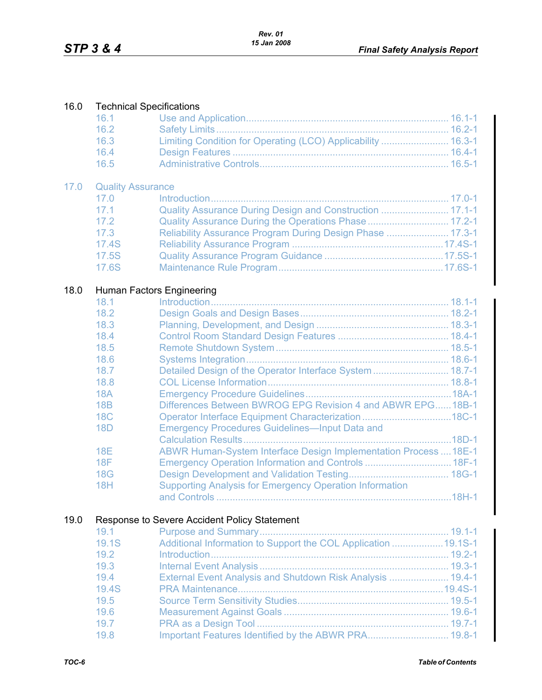| 16.0 | <b>Technical Specifications</b> |                                                                  |  |  |
|------|---------------------------------|------------------------------------------------------------------|--|--|
|      | 16.1                            |                                                                  |  |  |
|      | 16.2                            |                                                                  |  |  |
|      | 16.3                            | Limiting Condition for Operating (LCO) Applicability  16.3-1     |  |  |
|      | 16.4                            |                                                                  |  |  |
|      | 16.5                            |                                                                  |  |  |
| 17.0 | <b>Quality Assurance</b>        |                                                                  |  |  |
|      | 17.0                            |                                                                  |  |  |
|      | 17.1                            | Quality Assurance During Design and Construction  17.1-1         |  |  |
|      | 17.2                            | Quality Assurance During the Operations Phase 17.2-1             |  |  |
|      | 17.3                            | Reliability Assurance Program During Design Phase  17.3-1        |  |  |
|      | 17.4S                           |                                                                  |  |  |
|      | 17.5S                           |                                                                  |  |  |
|      | 17.6S                           |                                                                  |  |  |
| 18.0 |                                 | Human Factors Engineering                                        |  |  |
|      | 18.1                            |                                                                  |  |  |
|      | 18.2                            |                                                                  |  |  |
|      | 18.3                            |                                                                  |  |  |
|      | 18.4                            |                                                                  |  |  |
|      | 18.5                            |                                                                  |  |  |
|      | 18.6                            |                                                                  |  |  |
|      | 18.7                            | Detailed Design of the Operator Interface System  18.7-1         |  |  |
|      | 18.8                            |                                                                  |  |  |
|      | <b>18A</b>                      |                                                                  |  |  |
|      | 18B                             | Differences Between BWROG EPG Revision 4 and ABWR EPG18B-1       |  |  |
|      | <b>18C</b>                      | Operator Interface Equipment Characterization 18C-1              |  |  |
|      | <b>18D</b>                      | <b>Emergency Procedures Guidelines—Input Data and</b>            |  |  |
|      |                                 |                                                                  |  |  |
|      | <b>18E</b>                      | ABWR Human-System Interface Design Implementation Process  18E-1 |  |  |
|      | 18F                             | Emergency Operation Information and Controls  18F-1              |  |  |
|      | <b>18G</b><br><b>18H</b>        |                                                                  |  |  |
|      |                                 | <b>Supporting Analysis for Emergency Operation Information</b>   |  |  |
|      |                                 |                                                                  |  |  |
| 19.0 |                                 | Response to Severe Accident Policy Statement                     |  |  |
|      | 19.1                            |                                                                  |  |  |
|      | 19.1S                           | Additional Information to Support the COL Application  19.1S-1   |  |  |
|      | 19.2<br>19.3                    |                                                                  |  |  |
|      |                                 |                                                                  |  |  |
|      | 19.4<br><b>19.4S</b>            | External Event Analysis and Shutdown Risk Analysis  19.4-1       |  |  |
|      | 19.5                            |                                                                  |  |  |
|      | 19.6                            |                                                                  |  |  |
|      | 19.7                            |                                                                  |  |  |
|      | 19.8                            | Important Features Identified by the ABWR PRA 19.8-1             |  |  |
|      |                                 |                                                                  |  |  |